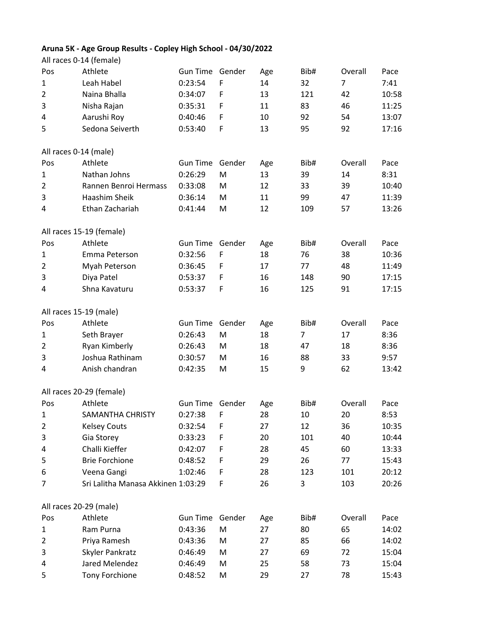## **Aruna 5K - Age Group Results - Copley High School - 04/30/2022** All races 0-14 (female)

|                | All Taces 0-14 (Temale)            |                 |        |     |      |                |       |
|----------------|------------------------------------|-----------------|--------|-----|------|----------------|-------|
| Pos            | Athlete                            | <b>Gun Time</b> | Gender | Age | Bib# | Overall        | Pace  |
| $\mathbf{1}$   | Leah Habel                         | 0:23:54         | F      | 14  | 32   | $\overline{7}$ | 7:41  |
| 2              | Naina Bhalla                       | 0:34:07         | F      | 13  | 121  | 42             | 10:58 |
| 3              | Nisha Rajan                        | 0:35:31         | F      | 11  | 83   | 46             | 11:25 |
| 4              | Aarushi Roy                        | 0:40:46         | F      | 10  | 92   | 54             | 13:07 |
| 5              | Sedona Seiverth                    | 0:53:40         | F      | 13  | 95   | 92             | 17:16 |
|                | All races 0-14 (male)              |                 |        |     |      |                |       |
| Pos            | Athlete                            | <b>Gun Time</b> | Gender | Age | Bib# | Overall        | Pace  |
| 1              | Nathan Johns                       | 0:26:29         | M      | 13  | 39   | 14             | 8:31  |
| $\overline{2}$ | Rannen Benroi Hermass              | 0:33:08         | M      | 12  | 33   | 39             | 10:40 |
| 3              | Haashim Sheik                      | 0:36:14         | M      | 11  | 99   | 47             | 11:39 |
| 4              | Ethan Zachariah                    | 0:41:44         | M      | 12  | 109  | 57             | 13:26 |
|                |                                    |                 |        |     |      |                |       |
|                | All races 15-19 (female)           |                 |        |     |      |                |       |
| Pos            | Athlete                            | <b>Gun Time</b> | Gender | Age | Bib# | Overall        | Pace  |
| 1              | Emma Peterson                      | 0:32:56         | F      | 18  | 76   | 38             | 10:36 |
| $\overline{2}$ | Myah Peterson                      | 0:36:45         | F      | 17  | 77   | 48             | 11:49 |
| 3              | Diya Patel                         | 0:53:37         | F      | 16  | 148  | 90             | 17:15 |
| 4              | Shna Kavaturu                      | 0:53:37         | F      | 16  | 125  | 91             | 17:15 |
|                | All races 15-19 (male)             |                 |        |     |      |                |       |
| Pos            | Athlete                            | <b>Gun Time</b> | Gender | Age | Bib# | Overall        | Pace  |
| 1              | Seth Brayer                        | 0:26:43         | M      | 18  | 7    | 17             | 8:36  |
| 2              | Ryan Kimberly                      | 0:26:43         | M      | 18  | 47   | 18             | 8:36  |
| 3              | Joshua Rathinam                    | 0:30:57         | M      | 16  | 88   | 33             | 9:57  |
| 4              | Anish chandran                     | 0:42:35         | M      | 15  | 9    | 62             | 13:42 |
|                | All races 20-29 (female)           |                 |        |     |      |                |       |
| Pos            | Athlete                            | Gun Time Gender |        | Age | Bib# | Overall        | Pace  |
| $\mathbf 1$    | SAMANTHA CHRISTY                   | 0:27:38         | F      | 28  | 10   | 20             | 8:53  |
| $\overline{c}$ | <b>Kelsey Couts</b>                | 0:32:54         | F      | 27  | 12   | 36             | 10:35 |
| 3              | Gia Storey                         | 0:33:23         | F      | 20  | 101  | 40             | 10:44 |
| 4              | Challi Kieffer                     | 0:42:07         | F      | 28  | 45   | 60             | 13:33 |
| 5              | <b>Brie Forchione</b>              | 0:48:52         | F      | 29  | 26   | 77             | 15:43 |
| 6              | Veena Gangi                        | 1:02:46         | F      | 28  | 123  | 101            | 20:12 |
| 7              | Sri Lalitha Manasa Akkinen 1:03:29 |                 | F      | 26  | 3    | 103            | 20:26 |
|                |                                    |                 |        |     |      |                |       |
|                | All races 20-29 (male)             |                 |        |     |      |                |       |
| Pos            | Athlete                            | Gun Time        | Gender | Age | Bib# | Overall        | Pace  |
| 1              | Ram Purna                          | 0:43:36         | M      | 27  | 80   | 65             | 14:02 |
| 2              | Priya Ramesh                       | 0:43:36         | M      | 27  | 85   | 66             | 14:02 |
| 3              | Skyler Pankratz                    | 0:46:49         | M      | 27  | 69   | 72             | 15:04 |
| 4              | Jared Melendez                     | 0:46:49         | M      | 25  | 58   | 73             | 15:04 |
| 5              | Tony Forchione                     | 0:48:52         | M      | 29  | 27   | 78             | 15:43 |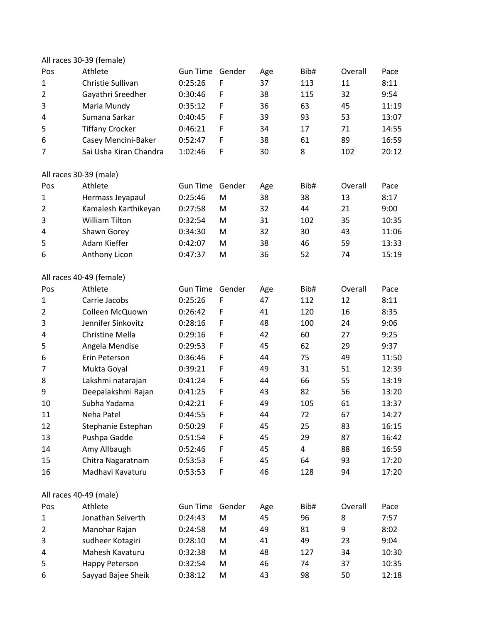|     | All races 30-39 (female) |                 |             |     |                         |         |       |
|-----|--------------------------|-----------------|-------------|-----|-------------------------|---------|-------|
| Pos | Athlete                  | <b>Gun Time</b> | Gender      | Age | Bib#                    | Overall | Pace  |
| 1   | Christie Sullivan        | 0:25:26         | F           | 37  | 113                     | 11      | 8:11  |
| 2   | Gayathri Sreedher        | 0:30:46         | F           | 38  | 115                     | 32      | 9:54  |
| 3   | Maria Mundy              | 0:35:12         | $\mathsf F$ | 36  | 63                      | 45      | 11:19 |
| 4   | Sumana Sarkar            | 0:40:45         | F           | 39  | 93                      | 53      | 13:07 |
| 5   | <b>Tiffany Crocker</b>   | 0:46:21         | F           | 34  | 17                      | 71      | 14:55 |
| 6   | Casey Mencini-Baker      | 0:52:47         | F           | 38  | 61                      | 89      | 16:59 |
| 7   | Sai Usha Kiran Chandra   | 1:02:46         | $\mathsf F$ | 30  | 8                       | 102     | 20:12 |
|     | All races 30-39 (male)   |                 |             |     |                         |         |       |
| Pos | Athlete                  | <b>Gun Time</b> | Gender      | Age | Bib#                    | Overall | Pace  |
| 1   | Hermass Jeyapaul         | 0:25:46         | M           | 38  | 38                      | 13      | 8:17  |
| 2   | Kamalesh Karthikeyan     | 0:27:58         | M           | 32  | 44                      | 21      | 9:00  |
| 3   | <b>William Tilton</b>    | 0:32:54         | M           | 31  | 102                     | 35      | 10:35 |
| 4   | Shawn Gorey              | 0:34:30         | M           | 32  | 30                      | 43      | 11:06 |
| 5   | Adam Kieffer             | 0:42:07         | M           | 38  | 46                      | 59      | 13:33 |
| 6   | Anthony Licon            | 0:47:37         | M           | 36  | 52                      | 74      | 15:19 |
|     | All races 40-49 (female) |                 |             |     |                         |         |       |
| Pos | Athlete                  | Gun Time        | Gender      | Age | Bib#                    | Overall | Pace  |
| 1   | Carrie Jacobs            | 0:25:26         | F           | 47  | 112                     | 12      | 8:11  |
| 2   | Colleen McQuown          | 0:26:42         | F           | 41  | 120                     | 16      | 8:35  |
| 3   | Jennifer Sinkovitz       | 0:28:16         | $\mathsf F$ | 48  | 100                     | 24      | 9:06  |
| 4   | <b>Christine Mella</b>   | 0:29:16         | F           | 42  | 60                      | 27      | 9:25  |
| 5   | Angela Mendise           | 0:29:53         | F           | 45  | 62                      | 29      | 9:37  |
| 6   | Erin Peterson            | 0:36:46         | F           | 44  | 75                      | 49      | 11:50 |
| 7   | Mukta Goyal              | 0:39:21         | $\mathsf F$ | 49  | 31                      | 51      | 12:39 |
| 8   | Lakshmi natarajan        | 0:41:24         | F           | 44  | 66                      | 55      | 13:19 |
| 9   | Deepalakshmi Rajan       | 0:41:25         | F           | 43  | 82                      | 56      | 13:20 |
| 10  | Subha Yadama             | 0:42:21         | F           | 49  | 105                     | 61      | 13:37 |
| 11  | Neha Patel               | 0:44:55         | F           | 44  | 72                      | 67      | 14:27 |
| 12  | Stephanie Estephan       | 0:50:29         | F           | 45  | 25                      | 83      | 16:15 |
| 13  | Pushpa Gadde             | 0:51:54         | F           | 45  | 29                      | 87      | 16:42 |
| 14  | Amy Allbaugh             | 0:52:46         | F           | 45  | $\overline{\mathbf{4}}$ | 88      | 16:59 |
| 15  | Chitra Nagaratnam        | 0:53:53         | F           | 45  | 64                      | 93      | 17:20 |
| 16  | Madhavi Kavaturu         | 0:53:53         | $\mathsf F$ | 46  | 128                     | 94      | 17:20 |
|     | All races 40-49 (male)   |                 |             |     |                         |         |       |
| Pos | Athlete                  | <b>Gun Time</b> | Gender      | Age | Bib#                    | Overall | Pace  |
| 1   | Jonathan Seiverth        | 0:24:43         | M           | 45  | 96                      | 8       | 7:57  |
| 2   | Manohar Rajan            | 0:24:58         | M           | 49  | 81                      | 9       | 8:02  |
| 3   | sudheer Kotagiri         | 0:28:10         | M           | 41  | 49                      | 23      | 9:04  |
| 4   | Mahesh Kavaturu          | 0:32:38         | M           | 48  | 127                     | 34      | 10:30 |
| 5   | <b>Happy Peterson</b>    | 0:32:54         | M           | 46  | 74                      | 37      | 10:35 |
| 6   | Sayyad Bajee Sheik       | 0:38:12         | M           | 43  | 98                      | 50      | 12:18 |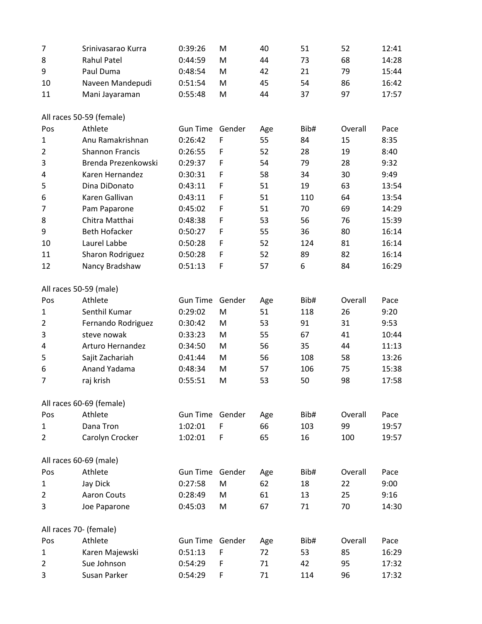| 7              | Srinivasarao Kurra       | 0:39:26         | M           | 40  | 51   | 52      | 12:41 |
|----------------|--------------------------|-----------------|-------------|-----|------|---------|-------|
| 8              | <b>Rahul Patel</b>       | 0:44:59         | M           | 44  | 73   | 68      | 14:28 |
| 9              | Paul Duma                | 0:48:54         | M           | 42  | 21   | 79      | 15:44 |
| 10             | Naveen Mandepudi         | 0:51:54         | M           | 45  | 54   | 86      | 16:42 |
| 11             | Mani Jayaraman           | 0:55:48         | M           | 44  | 37   | 97      | 17:57 |
|                | All races 50-59 (female) |                 |             |     |      |         |       |
| Pos            | Athlete                  | <b>Gun Time</b> | Gender      | Age | Bib# | Overall | Pace  |
| $\mathbf{1}$   | Anu Ramakrishnan         | 0:26:42         | F           | 55  | 84   | 15      | 8:35  |
| $\overline{2}$ | <b>Shannon Francis</b>   | 0:26:55         | F           | 52  | 28   | 19      | 8:40  |
| 3              | Brenda Prezenkowski      | 0:29:37         | F           | 54  | 79   | 28      | 9:32  |
| 4              | Karen Hernandez          | 0:30:31         | $\mathsf F$ | 58  | 34   | 30      | 9:49  |
| 5              | Dina DiDonato            | 0:43:11         | F           | 51  | 19   | 63      | 13:54 |
| 6              | Karen Gallivan           | 0:43:11         | $\mathsf F$ | 51  | 110  | 64      | 13:54 |
| 7              | Pam Paparone             | 0:45:02         | $\mathsf F$ | 51  | 70   | 69      | 14:29 |
| 8              | Chitra Matthai           | 0:48:38         | F           | 53  | 56   | 76      | 15:39 |
| 9              | <b>Beth Hofacker</b>     | 0:50:27         | F           | 55  | 36   | 80      | 16:14 |
| 10             | Laurel Labbe             | 0:50:28         | F           | 52  | 124  | 81      | 16:14 |
| 11             | Sharon Rodriguez         | 0:50:28         | F           | 52  | 89   | 82      | 16:14 |
| 12             | Nancy Bradshaw           | 0:51:13         | $\mathsf F$ | 57  | 6    | 84      | 16:29 |
|                | All races 50-59 (male)   |                 |             |     |      |         |       |
| Pos            | Athlete                  | <b>Gun Time</b> | Gender      | Age | Bib# | Overall | Pace  |
| $\mathbf{1}$   | Senthil Kumar            | 0:29:02         | M           | 51  | 118  | 26      | 9:20  |
| $\overline{2}$ | Fernando Rodriguez       | 0:30:42         | M           | 53  | 91   | 31      | 9:53  |
| 3              | steve nowak              | 0:33:23         | M           | 55  | 67   | 41      | 10:44 |
| 4              | Arturo Hernandez         | 0:34:50         | M           | 56  | 35   | 44      | 11:13 |
| 5              | Sajit Zachariah          | 0:41:44         | M           | 56  | 108  | 58      | 13:26 |
| 6              | Anand Yadama             | 0:48:34         | M           | 57  | 106  | 75      | 15:38 |
| 7              | raj krish                | 0:55:51         | M           | 53  | 50   | 98      | 17:58 |
|                | All races 60-69 (female) |                 |             |     |      |         |       |
| Pos            | Athlete                  | Gun Time Gender |             | Age | Bib# | Overall | Pace  |
| $\mathbf 1$    | Dana Tron                | 1:02:01         | $\mathsf F$ | 66  | 103  | 99      | 19:57 |
| 2              | Carolyn Crocker          | 1:02:01         | F           | 65  | 16   | 100     | 19:57 |
|                | All races 60-69 (male)   |                 |             |     |      |         |       |
| Pos            | Athlete                  | <b>Gun Time</b> | Gender      | Age | Bib# | Overall | Pace  |
| 1              | Jay Dick                 | 0:27:58         | M           | 62  | 18   | 22      | 9:00  |
| $\overline{2}$ | <b>Aaron Couts</b>       | 0:28:49         | M           | 61  | 13   | 25      | 9:16  |
| 3              | Joe Paparone             | 0:45:03         | M           | 67  | 71   | 70      | 14:30 |
|                | All races 70- (female)   |                 |             |     |      |         |       |
| Pos            | Athlete                  | <b>Gun Time</b> | Gender      | Age | Bib# | Overall | Pace  |
| $\mathbf{1}$   | Karen Majewski           | 0:51:13         | F           | 72  | 53   | 85      | 16:29 |
| 2              | Sue Johnson              | 0:54:29         | F           | 71  | 42   | 95      | 17:32 |
| 3              | Susan Parker             | 0:54:29         | F           | 71  | 114  | 96      | 17:32 |